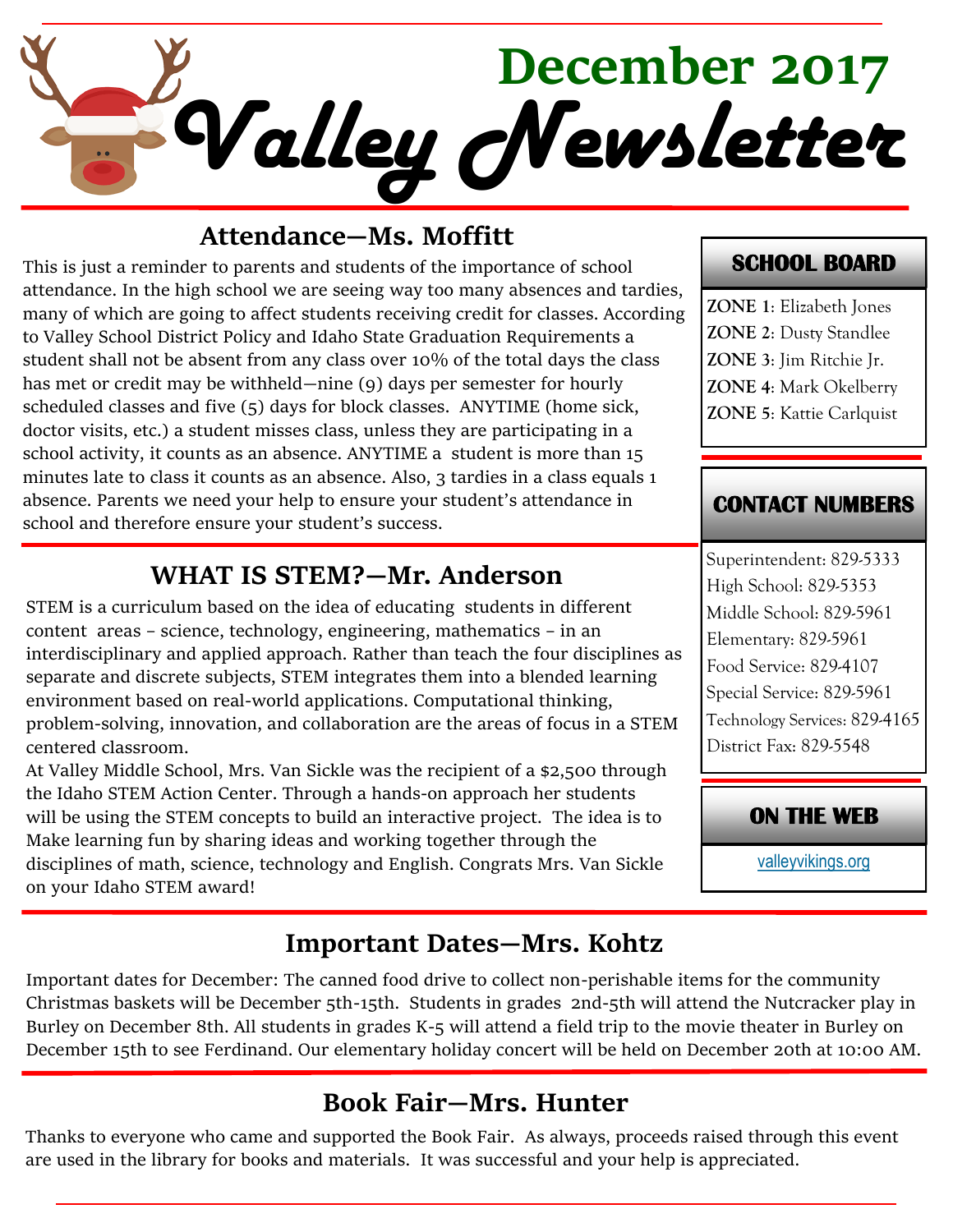

#### **Attendance—Ms. Moffitt**

This is just a reminder to parents and students of the importance of school attendance. In the high school we are seeing way too many absences and tardies, many of which are going to affect students receiving credit for classes. According to Valley School District Policy and Idaho State Graduation Requirements a student shall not be absent from any class over 10% of the total days the class has met or credit may be withheld—nine (9) days per semester for hourly scheduled classes and five (5) days for block classes. ANYTIME (home sick, doctor visits, etc.) a student misses class, unless they are participating in a school activity, it counts as an absence. ANYTIME a student is more than 15 minutes late to class it counts as an absence. Also, 3 tardies in a class equals 1 absence. Parents we need your help to ensure your student's attendance in school and therefore ensure your student's success.

#### **WHAT IS STEM?—Mr. Anderson**

STEM is a curriculum based on the idea of educating students in different content areas – science, technology, engineering, mathematics – in an interdisciplinary and applied approach. Rather than teach the four disciplines as separate and discrete subjects, STEM integrates them into a blended learning environment based on real-world applications. Computational thinking, problem-solving, innovation, and collaboration are the areas of focus in a STEM centered classroom.

At Valley Middle School, Mrs. Van Sickle was the recipient of a \$2,500 through the Idaho STEM Action Center. Through a hands-on approach her students will be using the STEM concepts to build an interactive project. The idea is to Make learning fun by sharing ideas and working together through the disciplines of math, science, technology and English. Congrats Mrs. Van Sickle on your Idaho STEM award!

#### **SCHOOL BOARD**

**ZONE 1**: Elizabeth Jones **ZONE 2**: Dusty Standlee **ZONE 3**: Jim Ritchie Jr. **ZONE 4**: Mark Okelberry **ZONE 5**: Kattie Carlquist

#### **CONTACT NUMBERS**

Superintendent: 829-5333 High School: 829-5353 Middle School: 829-5961 Elementary: 829-5961 Food Service: 829-4107 Special Service: 829-5961 Technology Services: 829-4165 District Fax: 829-5548

#### **ON THE WEB**

[valleyvikings.org](http://www.valleyvikings.org/)

## **Important Dates—Mrs. Kohtz**

Important dates for December: The canned food drive to collect non-perishable items for the community Christmas baskets will be December 5th-15th. Students in grades 2nd-5th will attend the Nutcracker play in Burley on December 8th. All students in grades K-5 will attend a field trip to the movie theater in Burley on December 15th to see Ferdinand. Our elementary holiday concert will be held on December 20th at 10:00 AM.

## **Book Fair—Mrs. Hunter**

Thanks to everyone who came and supported the Book Fair. As always, proceeds raised through this event are used in the library for books and materials. It was successful and your help is appreciated.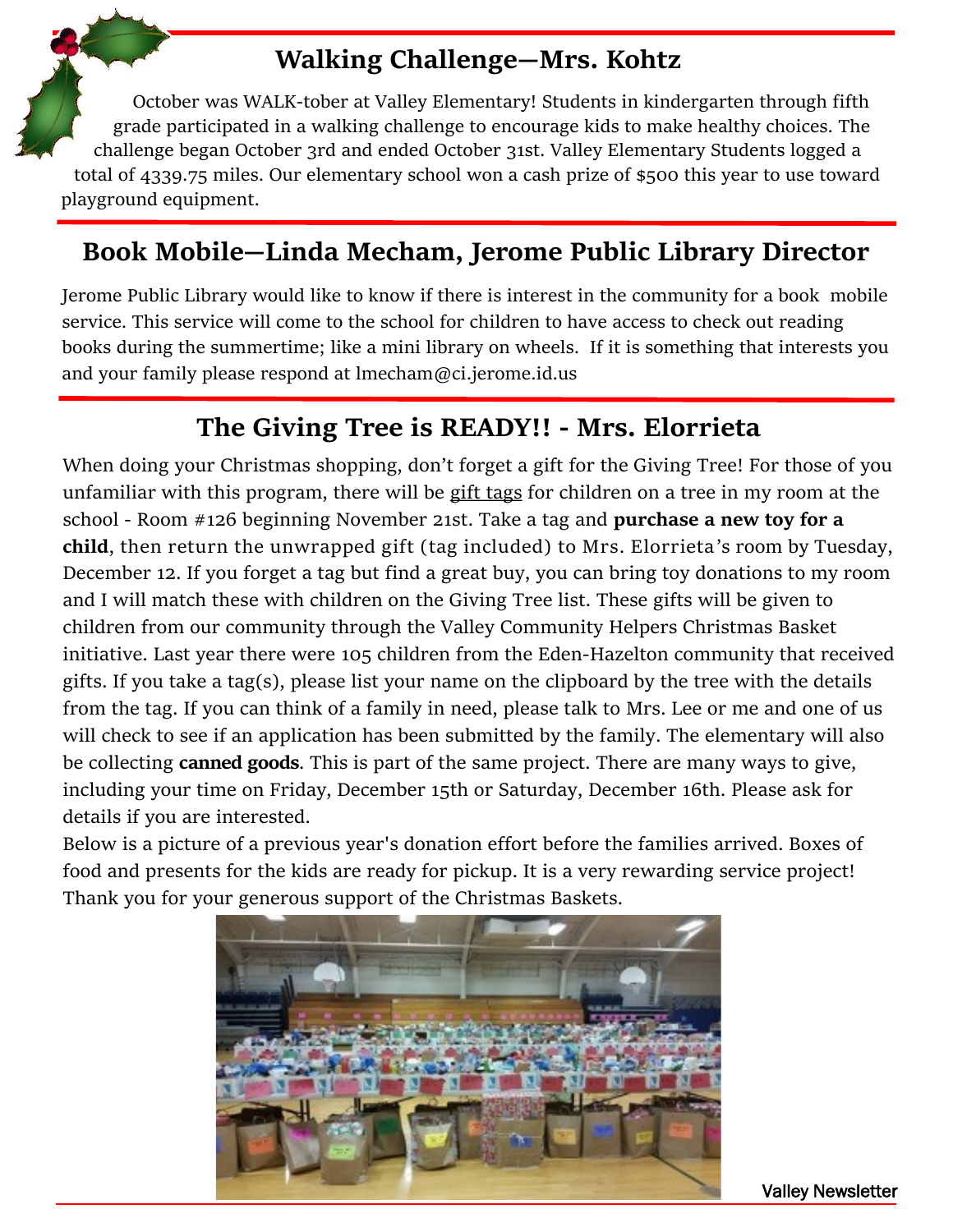## **Walking Challenge—Mrs. Kohtz**

October was WALK-tober at Valley Elementary! Students in kindergarten through fifth grade participated in a walking challenge to encourage kids to make healthy choices. The challenge began October 3rd and ended October 31st. Valley Elementary Students logged a [total of 433](https://www.google.com/imgres?imgurl=http%3A%2F%2Fimages.clipartpanda.com%2Fchristmas-clipart-free-aceKBXRpi.png&imgrefurl=http%3A%2F%2Fwww.clipartpanda.com%2Fcategories%2Ffree-christmas-clip-art-holly&docid=Gw63Q5TXY_ZabM&tbnid=pVckCQFZCYOIhM%3A&vet=10a)9.75 miles. Our elementary school won a cash prize of \$500 this year to use toward playground equipment.

## **Book Mobile—Linda Mecham, Jerome Public Library Director**

Jerome Public Library would like to know if there is interest in the community for a book mobile service. This service will come to the school for children to have access to check out reading books during the summertime; like a mini library on wheels. If it is something that interests you and your family please respond at lmecham@ci.jerome.id.us

## **The Giving Tree is READY!! - Mrs. Elorrieta**

When doing your Christmas shopping, don't forget a gift for the Giving Tree! For those of you unfamiliar with this program, there will be gift tags for children on a tree in my room at the school - Room #126 beginning November 21st. Take a tag and **purchase a new toy for a child**, then return the unwrapped gift (tag included) to Mrs. Elorrieta's room by Tuesday, December 12. If you forget a tag but find a great buy, you can bring toy donations to my room and I will match these with children on the Giving Tree list. These gifts will be given to children from our community through the Valley Community Helpers Christmas Basket initiative. Last year there were 105 children from the Eden-Hazelton community that received gifts. If you take a tag(s), please list your name on the clipboard by the tree with the details from the tag. If you can think of a family in need, please talk to Mrs. Lee or me and one of us will check to see if an application has been submitted by the family. The elementary will also be collecting **canned goods**. This is part of the same project. There are many ways to give, including your time on Friday, December 15th or Saturday, December 16th. Please ask for details if you are interested.

Below is a picture of a previous year's donation effort before the families arrived. Boxes of food and presents for the kids are ready for pickup. It is a very rewarding service project! Thank you for your generous support of the Christmas Baskets.



Valley Newsletter